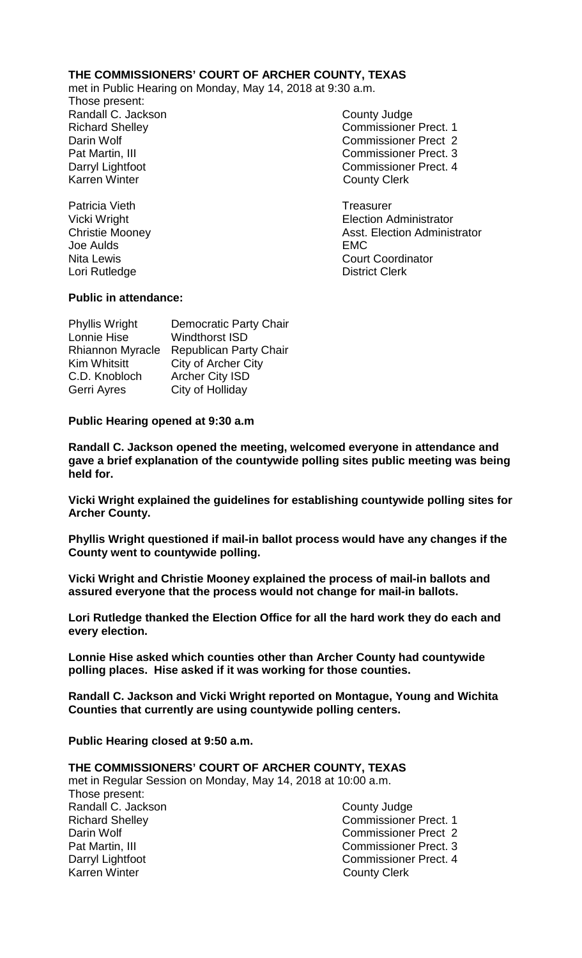# **THE COMMISSIONERS' COURT OF ARCHER COUNTY, TEXAS**

met in Public Hearing on Monday, May 14, 2018 at 9:30 a.m.

Those present: Randall C. Jackson County Judge Richard Shelley **Commissioner Prect. 1** Darin Wolf Commissioner Prect 2 Pat Martin, III Commissioner Prect. 3 Darryl Lightfoot Commissioner Prect. 4 Karren Winter **County Clerk** 

Patricia Vieth **Treasurer** Treasurer Vicki Wright **Election Administrator** Christie Mooney **Asst. Election Administrator**<br>
Joe Aulds **Aulds** Joe Aulds Nita Lewis Court Coordinator Lori Rutledge **District Clerk** 

# **Public in attendance:**

Phyllis Wright Democratic Party Chair Lonnie Hise Windthorst ISD Rhiannon Myracle Republican Party Chair Kim Whitsitt City of Archer City C.D. Knobloch Archer City ISD Gerri Ayres City of Holliday

## **Public Hearing opened at 9:30 a.m**

**Randall C. Jackson opened the meeting, welcomed everyone in attendance and gave a brief explanation of the countywide polling sites public meeting was being held for.**

**Vicki Wright explained the guidelines for establishing countywide polling sites for Archer County.**

**Phyllis Wright questioned if mail-in ballot process would have any changes if the County went to countywide polling.**

**Vicki Wright and Christie Mooney explained the process of mail-in ballots and assured everyone that the process would not change for mail-in ballots.**

**Lori Rutledge thanked the Election Office for all the hard work they do each and every election.**

**Lonnie Hise asked which counties other than Archer County had countywide polling places. Hise asked if it was working for those counties.**

**Randall C. Jackson and Vicki Wright reported on Montague, Young and Wichita Counties that currently are using countywide polling centers.**

**Public Hearing closed at 9:50 a.m.**

#### **THE COMMISSIONERS' COURT OF ARCHER COUNTY, TEXAS**

met in Regular Session on Monday, May 14, 2018 at 10:00 a.m. Those present: Randall C. Jackson **County Judge County Judge** Richard Shelley Commissioner Prect. 1 Darin Wolf Commissioner Prect 2 Pat Martin, III Commissioner Prect. 3 Darryl Lightfoot **Commissioner Prect. 4**<br>
Karren Winter **County County Clerk** 

**County Clerk**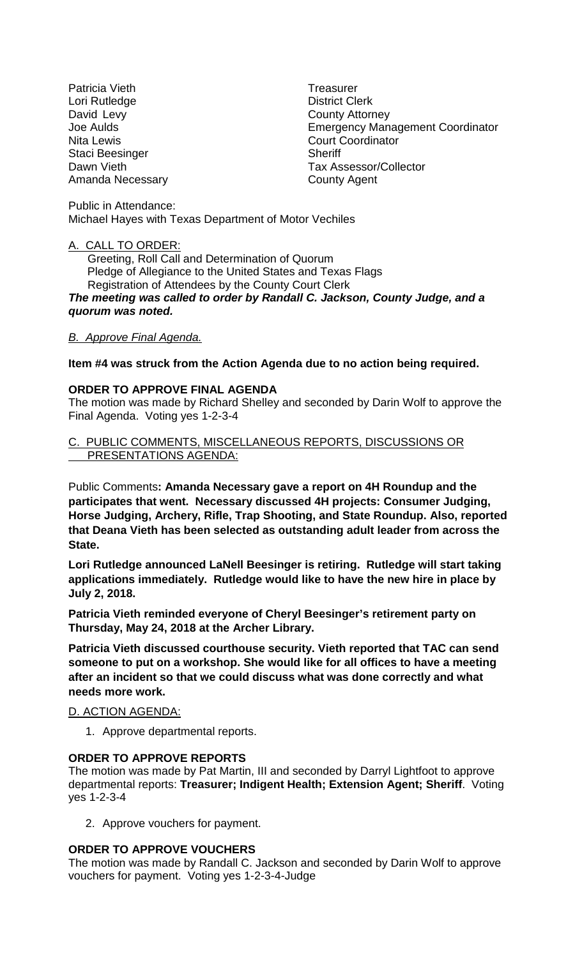Patricia Vieth **Treasurer** Lori Rutledge **District Clerk** David Levy **County Attorney** Nita Lewis **Nita Lewis** Court Coordinator Staci Beesinger Sheriff Amanda Necessary **County Agent** 

Joe Aulds Emergency Management Coordinator Dawn Vieth Tax Assessor/Collector

Public in Attendance: Michael Hayes with Texas Department of Motor Vechiles

## A. CALL TO ORDER:

 Greeting, Roll Call and Determination of Quorum Pledge of Allegiance to the United States and Texas Flags Registration of Attendees by the County Court Clerk

*The meeting was called to order by Randall C. Jackson, County Judge, and a quorum was noted.*

## *B. Approve Final Agenda.*

## **Item #4 was struck from the Action Agenda due to no action being required.**

## **ORDER TO APPROVE FINAL AGENDA**

The motion was made by Richard Shelley and seconded by Darin Wolf to approve the Final Agenda. Voting yes 1-2-3-4

#### C. PUBLIC COMMENTS, MISCELLANEOUS REPORTS, DISCUSSIONS OR PRESENTATIONS AGENDA:

Public Comments**: Amanda Necessary gave a report on 4H Roundup and the participates that went. Necessary discussed 4H projects: Consumer Judging, Horse Judging, Archery, Rifle, Trap Shooting, and State Roundup. Also, reported that Deana Vieth has been selected as outstanding adult leader from across the State.**

**Lori Rutledge announced LaNell Beesinger is retiring. Rutledge will start taking applications immediately. Rutledge would like to have the new hire in place by July 2, 2018.**

**Patricia Vieth reminded everyone of Cheryl Beesinger's retirement party on Thursday, May 24, 2018 at the Archer Library.**

**Patricia Vieth discussed courthouse security. Vieth reported that TAC can send someone to put on a workshop. She would like for all offices to have a meeting after an incident so that we could discuss what was done correctly and what needs more work.**

#### D. ACTION AGENDA:

1. Approve departmental reports.

#### **ORDER TO APPROVE REPORTS**

The motion was made by Pat Martin, III and seconded by Darryl Lightfoot to approve departmental reports: **Treasurer; Indigent Health; Extension Agent; Sheriff**. Voting yes 1-2-3-4

2. Approve vouchers for payment.

# **ORDER TO APPROVE VOUCHERS**

The motion was made by Randall C. Jackson and seconded by Darin Wolf to approve vouchers for payment. Voting yes 1-2-3-4-Judge